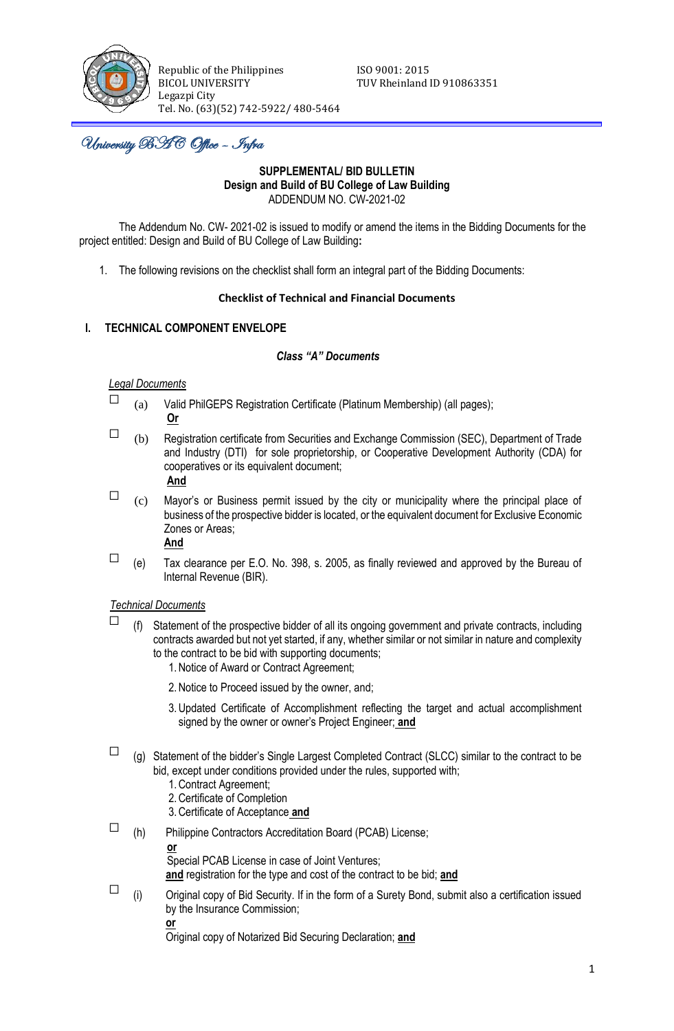

Republic of the Philippines<br>BICOL UNIVERSITY TUV Rheinland Legazpi City Tel. No. (63)(52) 742-5922/ 480-5464

TUV Rheinland ID 910863351

j University BAC Office – Infra

### **SUPPLEMENTAL/ BID BULLETIN Design and Build of BU College of Law Building** ADDENDUM NO. CW-2021-02

The Addendum No. CW- 2021-02 is issued to modify or amend the items in the Bidding Documents for the project entitled: Design and Build of BU College of Law Building**:**

1. The following revisions on the checklist shall form an integral part of the Bidding Documents:

### **Checklist of Technical and Financial Documents**

# **I. TECHNICAL COMPONENT ENVELOPE**

### *Class "A" Documents*

### *Legal Documents*

- $\Box$  (a) Valid PhilGEPS Registration Certificate (Platinum Membership) (all pages); **Or**
	-
- $\Box$  (b) Registration certificate from Securities and Exchange Commission (SEC), Department of Trade and Industry (DTI) for sole proprietorship, or Cooperative Development Authority (CDA) for cooperatives or its equivalent document;

# **And**

 $\Box$  (c) Mayor's or Business permit issued by the city or municipality where the principal place of business of the prospective bidder is located, or the equivalent document for Exclusive Economic Zones or Areas;

**And**

 $\Box$  (e) Tax clearance per E.O. No. 398, s. 2005, as finally reviewed and approved by the Bureau of Internal Revenue (BIR).

## *Technical Documents*

- $\Box$  (f) Statement of the prospective bidder of all its ongoing government and private contracts, including contracts awarded but not yet started, if any, whether similar or not similar in nature and complexity to the contract to be bid with supporting documents;
	- 1.Notice of Award or Contract Agreement;
	- 2.Notice to Proceed issued by the owner, and;
	- 3.Updated Certificate of Accomplishment reflecting the target and actual accomplishment signed by the owner or owner's Project Engineer; **and**
- $\Box$  (g) Statement of the bidder's Single Largest Completed Contract (SLCC) similar to the contract to be bid, except under conditions provided under the rules, supported with;
	- 1.Contract Agreement;
	- 2.Certificate of Completion
	- 3.Certificate of Acceptance **and**

 $\Box$  (h) Philippine Contractors Accreditation Board (PCAB) License; **or**  Special PCAB License in case of Joint Ventures;

**and** registration for the type and cost of the contract to be bid; **and**

 $\square$  (i) Original copy of Bid Security. If in the form of a Surety Bond, submit also a certification issued by the Insurance Commission;

**or**

Original copy of Notarized Bid Securing Declaration; **and**